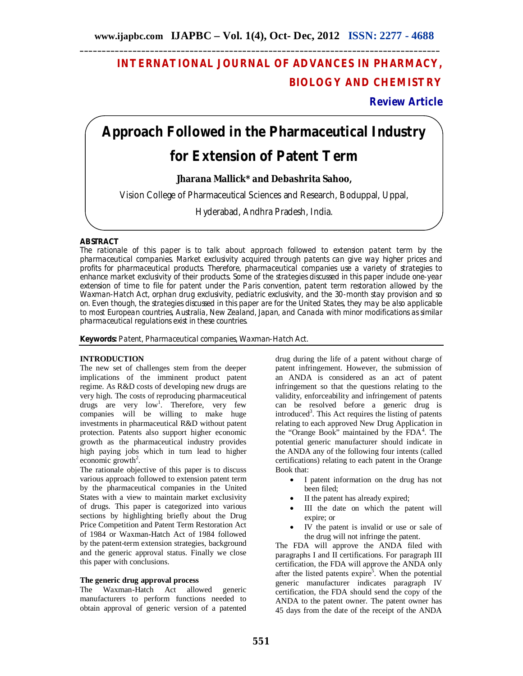## **INTERNATIONAL JOURNAL OF ADVANCES IN PHARMACY, BIOLOGY AND CHEMISTRY**

**Review Article**

# **Approach Followed in the Pharmaceutical Industry**

## **for Extension of Patent Term**

**Jharana Mallick\* and Debashrita Sahoo,**

Vision College of Pharmaceutical Sciences and Research, Boduppal, Uppal,

Hyderabad, Andhra Pradesh, India.

### **ABSTRACT**

The rationale of this paper is to talk about approach followed to extension patent term by the pharmaceutical companies. Market exclusivity acquired through patents can give way higher prices and profits for pharmaceutical products. Therefore, pharmaceutical companies use a variety of strategies to enhance market exclusivity of their products. Some of the strategies discussed in this paper include one-year extension of time to file for patent under the Paris convention, patent term restoration allowed by the Waxman-Hatch Act, orphan drug exclusivity, pediatric exclusivity, and the 30-month stay provision and so on. Even though, the strategies discussed in this paper are for the United States, they may be also applicable to most European countries, Australia, New Zealand, Japan, and Canada with minor modifications as similar pharmaceutical regulations exist in these countries.

**Keywords:** Patent, Pharmaceutical companies, Waxman-Hatch Act.

#### **INTRODUCTION**

The new set of challenges stem from the deeper implications of the imminent product patent regime. As R&D costs of developing new drugs are very high. The costs of reproducing pharmaceutical drugs are very  $low<sup>1</sup>$ . Therefore, very few companies will be willing to make huge investments in pharmaceutical R&D without patent protection. Patents also support higher economic growth as the pharmaceutical industry provides high paying jobs which in turn lead to higher economic growth<sup>2</sup>.

The rationale objective of this paper is to discuss various approach followed to extension patent term by the pharmaceutical companies in the United States with a view to maintain market exclusivity of drugs. This paper is categorized into various sections by highlighting briefly about the Drug Price Competition and Patent Term Restoration Act of 1984 or Waxman-Hatch Act of 1984 followed by the patent-term extension strategies, background and the generic approval status. Finally we close this paper with conclusions.

#### **The generic drug approval process**

The Waxman-Hatch Act allowed generic manufacturers to perform functions needed to obtain approval of generic version of a patented

drug during the life of a patent without charge of patent infringement. However, the submission of an ANDA is considered as an act of patent infringement so that the questions relating to the validity, enforceability and infringement of patents can be resolved before a generic drug is introduced<sup>3</sup>. This Act requires the listing of patents relating to each approved New Drug Application in the "Orange Book" maintained by the FDA<sup>4</sup>. The potential generic manufacturer should indicate in the ANDA any of the following four intents (called certifications) relating to each patent in the Orange Book that:

- I patent information on the drug has not been filed;
- II the patent has already expired;
- III the date on which the patent will expire; or
- IV the patent is invalid or use or sale of the drug will not infringe the patent.

The FDA will approve the ANDA filed with paragraphs I and II certifications. For paragraph III certification, the FDA will approve the ANDA only after the listed patents expire<sup>5</sup>. When the potential generic manufacturer indicates paragraph IV certification, the FDA should send the copy of the ANDA to the patent owner. The patent owner has 45 days from the date of the receipt of the ANDA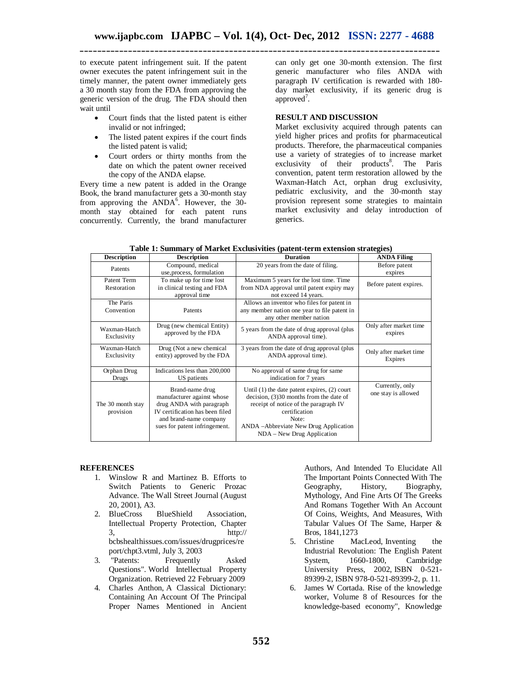to execute patent infringement suit. If the patent owner executes the patent infringement suit in the timely manner, the patent owner immediately gets a 30 month stay from the FDA from approving the generic version of the drug. The FDA should then wait until

- Court finds that the listed patent is either invalid or not infringed;
- The listed patent expires if the court finds the listed patent is valid;
- Court orders or thirty months from the date on which the patent owner received the copy of the ANDA elapse.

Every time a new patent is added in the Orange Book, the brand manufacturer gets a 30-month stay from approving the  $ANDA<sup>6</sup>$ . However, the 30month stay obtained for each patent runs concurrently. Currently, the brand manufacturer

can only get one 30-month extension. The first generic manufacturer who files ANDA with paragraph IV certification is rewarded with 180 day market exclusivity, if its generic drug is approved<sup>7</sup>.

#### **RESULT AND DISCUSSION**

Market exclusivity acquired through patents can yield higher prices and profits for pharmaceutical products. Therefore, the pharmaceutical companies use a variety of strategies of to increase market exclusivity of their products<sup>8</sup>. The Paris convention, patent term restoration allowed by the Waxman-Hatch Act, orphan drug exclusivity, pediatric exclusivity, and the 30-month stay provision represent some strategies to maintain market exclusivity and delay introduction of generics.

| <b>Description</b>             | <b>Description</b>                                                                                                                                                      | <b>Duration</b>                                                                                                                                                                                                                          | <b>ANDA Filing</b>                     |
|--------------------------------|-------------------------------------------------------------------------------------------------------------------------------------------------------------------------|------------------------------------------------------------------------------------------------------------------------------------------------------------------------------------------------------------------------------------------|----------------------------------------|
| Patents                        | Compound, medical<br>use, process, formulation                                                                                                                          | 20 years from the date of filing.                                                                                                                                                                                                        | Before patent<br>expires               |
| Patent Term<br>Restoration     | To make up for time lost<br>in clinical testing and FDA<br>approval time                                                                                                | Maximum 5 years for the lost time. Time<br>from NDA approval until patent expiry may<br>not exceed 14 years.                                                                                                                             | Before patent expires.                 |
| The Paris<br>Convention        | Patents                                                                                                                                                                 | Allows an inventor who files for patent in<br>any member nation one year to file patent in<br>any other member nation                                                                                                                    |                                        |
| Waxman-Hatch<br>Exclusivity    | Drug (new chemical Entity)<br>approved by the FDA                                                                                                                       | 5 years from the date of drug approval (plus<br>ANDA approval time).                                                                                                                                                                     | Only after market time<br>expires      |
| Waxman-Hatch<br>Exclusivity    | Drug (Not a new chemical<br>entity) approved by the FDA                                                                                                                 | 3 years from the date of drug approval (plus)<br>ANDA approval time).                                                                                                                                                                    | Only after market time<br>Expires      |
| Orphan Drug<br>Drugs           | Indications less than 200,000<br>US patients                                                                                                                            | No approval of same drug for same<br>indication for 7 years                                                                                                                                                                              |                                        |
| The 30 month stay<br>provision | Brand-name drug<br>manufacturer against whose<br>drug ANDA with paragraph<br>IV certification has been filed<br>and brand-name company<br>sues for patent infringement. | Until $(1)$ the date patent expires, $(2)$ court<br>decision, $(3)30$ months from the date of<br>receipt of notice of the paragraph IV<br>certification<br>Note:<br>ANDA - Abbreviate New Drug Application<br>NDA - New Drug Application | Currently, only<br>one stay is allowed |

| Table 1: Summary of Market Exclusivities (patent-term extension strategies) |  |  |  |
|-----------------------------------------------------------------------------|--|--|--|
|                                                                             |  |  |  |

#### **REFERENCES**

- 1. Winslow R and Martinez B. Efforts to Switch Patients to Generic Prozac Advance. The Wall Street Journal (August 20, 2001), A3.
- 2. BlueCross BlueShield Association, Intellectual Property Protection, Chapter  $3.$  http:// bcbshealthissues.com/issues/drugprices/re port/chpt3.vtml, July 3, 2003<br>"Patents: Frequently
- 3. "Patents: Frequently Asked Questions". World Intellectual Property Organization. Retrieved 22 February 2009
- 4. Charles Anthon, A Classical Dictionary: Containing An Account Of The Principal Proper Names Mentioned in Ancient

Authors, And Intended To Elucidate All The Important Points Connected With The Geography, History, Biography, Mythology, And Fine Arts Of The Greeks And Romans Together With An Account Of Coins, Weights, And Measures, With Tabular Values Of The Same, Harper &

- Bros, 1841, 1273<br>5. Christine Ma MacLeod, Inventing the Industrial Revolution: The English Patent<br>System, 1660-1800, Cambridge  $1660-1800$ , Cambridge University Press, 2002, ISBN 0-521- 89399-2, ISBN 978-0-521-89399-2, p. 11.
- 6. James W Cortada. Rise of the knowledge worker, Volume 8 of Resources for the knowledge-based economy", Knowledge